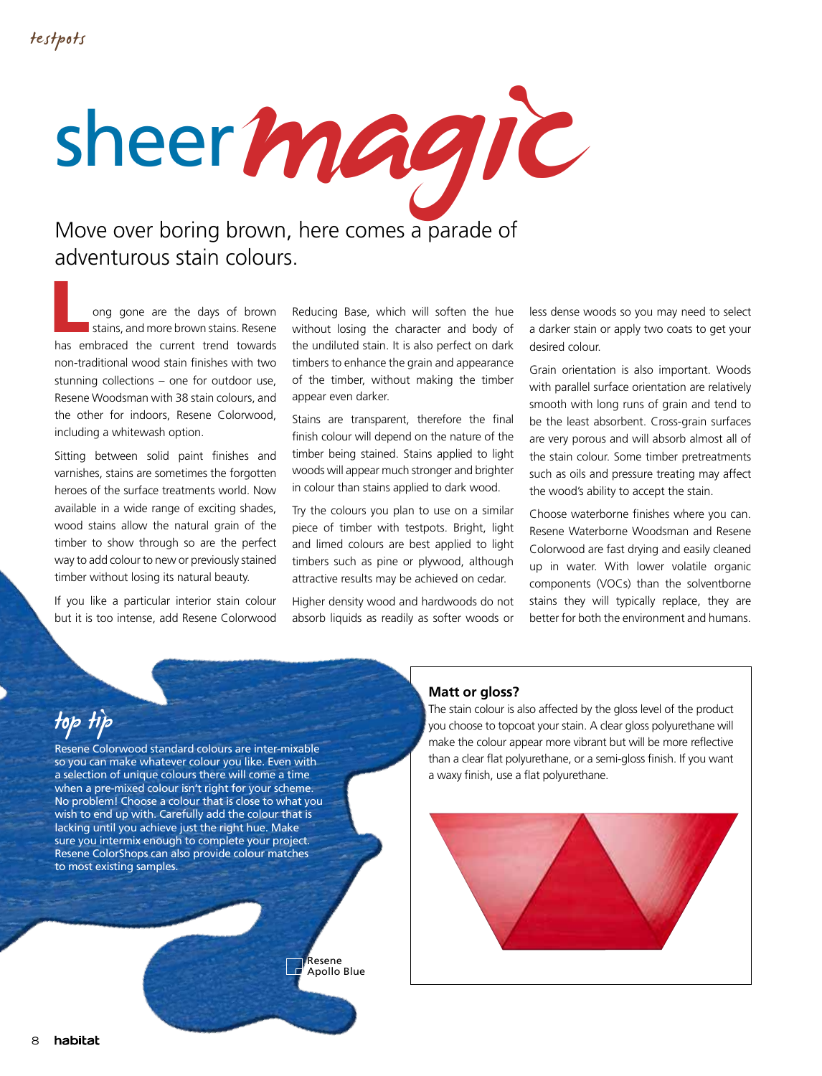

ong gone are the days of brown<br>stains, and more brown stains. Resene<br>has embraced the current trend towards stains, and more brown stains. Resene has embraced the current trend towards non-traditional wood stain finishes with two stunning collections – one for outdoor use, Resene Woodsman with 38 stain colours, and the other for indoors, Resene Colorwood, including a whitewash option.

Sitting between solid paint finishes and varnishes, stains are sometimes the forgotten heroes of the surface treatments world. Now available in a wide range of exciting shades, wood stains allow the natural grain of the timber to show through so are the perfect way to add colour to new or previously stained timber without losing its natural beauty.

If you like a particular interior stain colour but it is too intense, add Resene Colorwood Reducing Base, which will soften the hue without losing the character and body of the undiluted stain. It is also perfect on dark timbers to enhance the grain and appearance of the timber, without making the timber appear even darker.

Stains are transparent, therefore the final finish colour will depend on the nature of the timber being stained. Stains applied to light woods will appear much stronger and brighter in colour than stains applied to dark wood.

Try the colours you plan to use on a similar piece of timber with testpots. Bright, light and limed colours are best applied to light timbers such as pine or plywood, although attractive results may be achieved on cedar.

Higher density wood and hardwoods do not absorb liquids as readily as softer woods or less dense woods so you may need to select a darker stain or apply two coats to get your desired colour.

Grain orientation is also important. Woods with parallel surface orientation are relatively smooth with long runs of grain and tend to be the least absorbent. Cross-grain surfaces are very porous and will absorb almost all of the stain colour. Some timber pretreatments such as oils and pressure treating may affect the wood's ability to accept the stain.

Choose waterborne finishes where you can. Resene Waterborne Woodsman and Resene Colorwood are fast drying and easily cleaned up in water. With lower volatile organic components (VOCs) than the solventborne stains they will typically replace, they are better for both the environment and humans.

## top tip

Resene Colorwood standard colours are inter-mixable so you can make whatever colour you like. Even with a selection of unique colours there will come a time when a pre-mixed colour isn't right for your scheme. No problem! Choose a colour that is close to what you wish to end up with. Carefully add the colour that is lacking until you achieve just the right hue. Make sure you intermix enough to complete your project. Resene ColorShops can also provide colour matches to most existing samples.

> Resene Apollo Blue

## **Matt or gloss?**

The stain colour is also affected by the gloss level of the product you choose to topcoat your stain. A clear gloss polyurethane will make the colour appear more vibrant but will be more reflective than a clear flat polyurethane, or a semi-gloss finish. If you want a waxy finish, use a flat polyurethane.

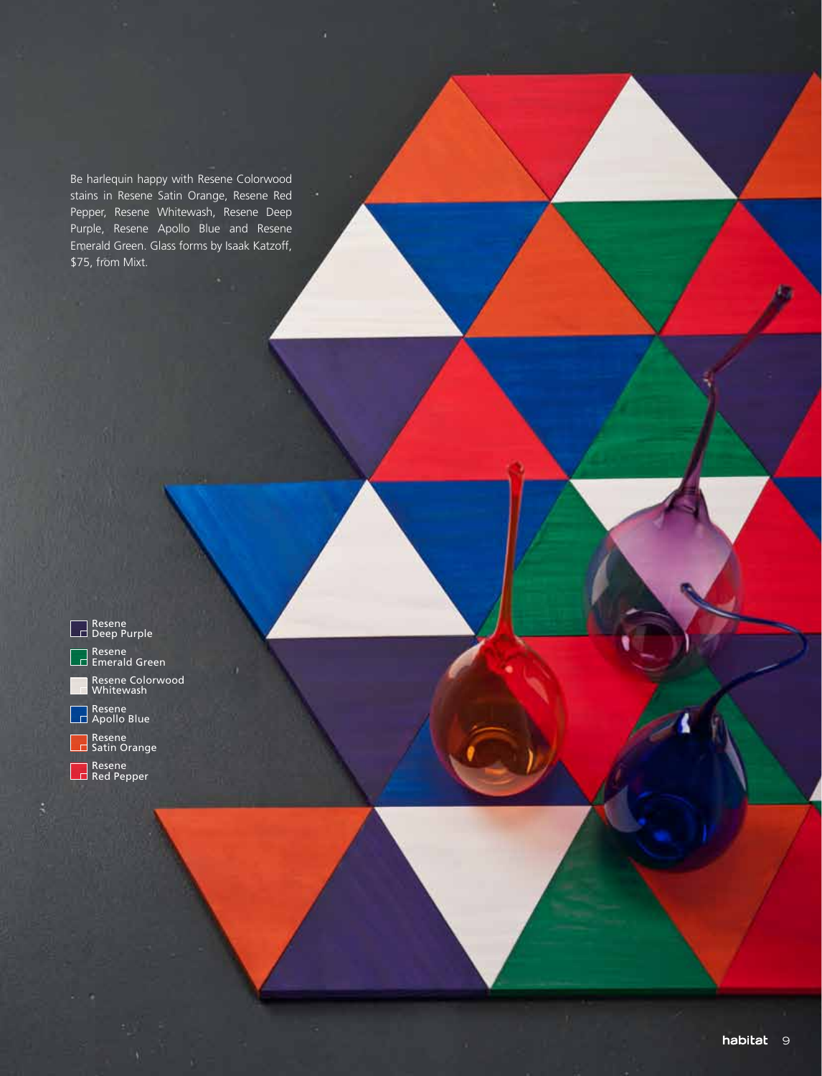Be harlequin happy with Resene Colorwood stains in Resene Satin Orange, Resene Red Pepper, Resene Whitewash, Resene Deep Purple, Resene Apollo Blue and Resene Emerald Green. Glass forms by Isaak Katzoff, \$75, from Mixt.

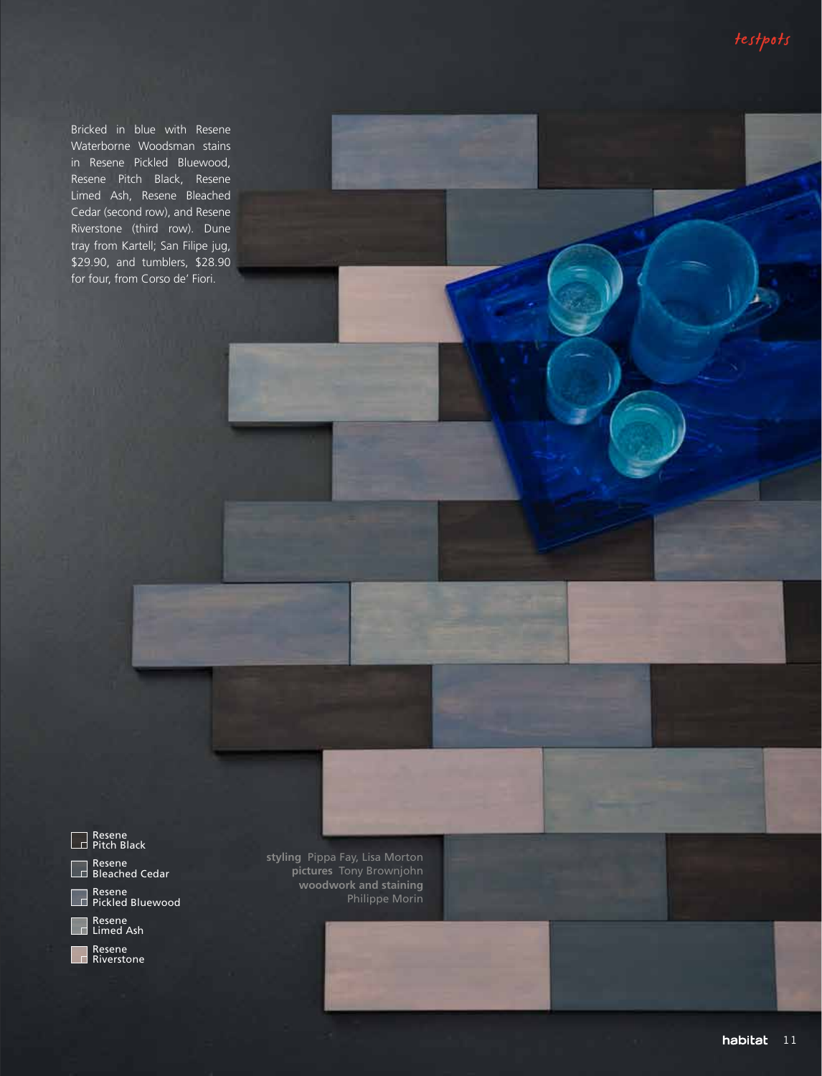Bricked in blue with Resene Waterborne Woodsman stains in Resene Pickled Bluewood, Resene Pitch Black, Resene Limed Ash, Resene Bleached Cedar (second row), and Resene Riverstone (third row). Dune tray from Kartell; San Filipe jug, \$29.90, and tumblers, \$28.90 for four, from Corso de' Fiori.



Resene<br>Riverstone

**styling** Pippa Fay, Lisa Morton **pictures** Tony Brownjohn **woodwork and staining**  Philippe Morin